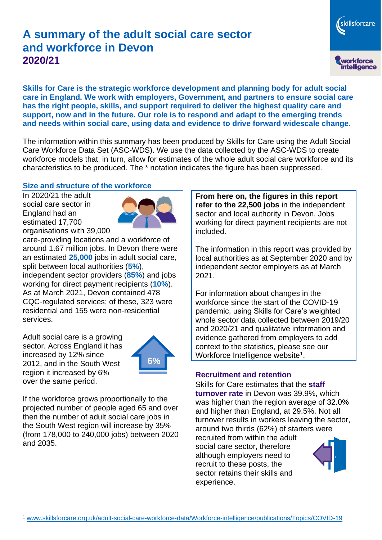# **A summary of the adult social care sector and workforce in Devon 2020/21**

skillsforcare workforce<br>intelligence

**Skills for Care is the strategic workforce development and planning body for adult social care in England. We work with employers, Government, and partners to ensure social care has the right people, skills, and support required to deliver the highest quality care and support, now and in the future. Our role is to respond and adapt to the emerging trends and needs within social care, using data and evidence to drive forward widescale change.**

The information within this summary has been produced by Skills for Care using the Adult Social Care Workforce Data Set (ASC-WDS). We use the data collected by the ASC-WDS to create workforce models that, in turn, allow for estimates of the whole adult social care workforce and its characteristics to be produced. The \* notation indicates the figure has been suppressed.

#### **Size and structure of the workforce**

In 2020/21 the adult social care sector in England had an estimated 17,700 organisations with 39,000



care-providing locations and a workforce of around 1.67 million jobs. In Devon there were an estimated **25,000** jobs in adult social care, split between local authorities (**5%**), independent sector providers (**85%**) and jobs working for direct payment recipients (**10%**). As at March 2021, Devon contained 478 CQC-regulated services; of these, 323 were residential and 155 were non-residential services.

Adult social care is a growing sector. Across England it has increased by 12% since 2012, and in the South West region it increased by 6% over the same period.



If the workforce grows proportionally to the projected number of people aged 65 and over then the number of adult social care jobs in the South West region will increase by 35% (from 178,000 to 240,000 jobs) between 2020 and 2035.

**From here on, the figures in this report refer to the 22,500 jobs** in the independent sector and local authority in Devon. Jobs working for direct payment recipients are not included.

The information in this report was provided by local authorities as at September 2020 and by independent sector employers as at March 2021.

For information about changes in the workforce since the start of the COVID-19 pandemic, using Skills for Care's weighted whole sector data collected between 2019/20 and 2020/21 and qualitative information and evidence gathered from employers to add context to the statistics, please see our Workforce Intelligence website<sup>1</sup>.

#### **Recruitment and retention**

Skills for Care estimates that the **staff turnover rate** in Devon was 39.9%, which was higher than the region average of 32.0% and higher than England, at 29.5%. Not all turnover results in workers leaving the sector, around two thirds (62%) of starters were recruited from within the adult social care sector, therefore although employers need to recruit to these posts, the sector retains their skills and experience.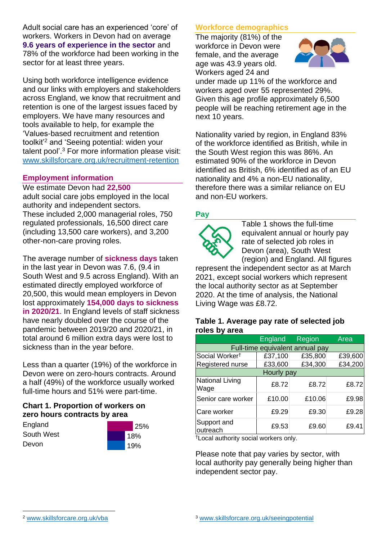Adult social care has an experienced 'core' of workers. Workers in Devon had on average **9.6 years of experience in the sector** and 78% of the workforce had been working in the sector for at least three years.

Using both workforce intelligence evidence and our links with employers and stakeholders across England, we know that recruitment and retention is one of the largest issues faced by employers. We have many resources and tools available to help, for example the 'Values-based recruitment and retention toolkit'<sup>2</sup> and 'Seeing potential: widen your talent pool'. <sup>3</sup> For more information please visit: [www.skillsforcare.org.uk/recruitment-retention](http://www.skillsforcare.org.uk/recruitment-retention)

### **Employment information**

We estimate Devon had **22,500** adult social care jobs employed in the local authority and independent sectors. These included 2,000 managerial roles, 750 regulated professionals, 16,500 direct care (including 13,500 care workers), and 3,200 other-non-care proving roles.

The average number of **sickness days** taken in the last year in Devon was 7.6, (9.4 in South West and 9.5 across England). With an estimated directly employed workforce of 20,500, this would mean employers in Devon lost approximately **154,000 days to sickness in 2020/21**. In England levels of staff sickness have nearly doubled over the course of the pandemic between 2019/20 and 2020/21, in total around 6 million extra days were lost to sickness than in the year before.

Less than a quarter (19%) of the workforce in Devon were on zero-hours contracts. Around a half (49%) of the workforce usually worked full-time hours and 51% were part-time.

### **Chart 1. Proportion of workers on zero hours contracts by area**

**England** South West Devon



### **Workforce demographics**

The majority (81%) of the workforce in Devon were female, and the average age was 43.9 years old. Workers aged 24 and



under made up 11% of the workforce and workers aged over 55 represented 29%. Given this age profile approximately 6,500 people will be reaching retirement age in the next 10 years.

Nationality varied by region, in England 83% of the workforce identified as British, while in the South West region this was 86%. An estimated 90% of the workforce in Devon identified as British, 6% identified as of an EU nationality and 4% a non-EU nationality, therefore there was a similar reliance on EU and non-EU workers.

### **Pay**



Table 1 shows the full-time equivalent annual or hourly pay rate of selected job roles in Devon (area), South West (region) and England. All figures

represent the independent sector as at March 2021, except social workers which represent the local authority sector as at September 2020. At the time of analysis, the National Living Wage was £8.72.

#### **Table 1. Average pay rate of selected job roles by area**

|                                 | <b>England</b> | <b>Region</b> | Area    |
|---------------------------------|----------------|---------------|---------|
| Full-time equivalent annual pay |                |               |         |
| Social Worker <sup>t</sup>      | £37,100        | £35,800       | £39,600 |
| Registered nurse                | £33,600        | £34,300       | £34,200 |
| Hourly pay                      |                |               |         |
| National Living<br>Wage         | £8.72          | £8.72         | £8.72   |
| Senior care worker              | £10.00         | £10.06        | £9.98   |
| Care worker                     | £9.29          | £9.30         | £9.28   |
| Support and<br>outreach         | £9.53          | £9.60         | £9.41   |

†Local authority social workers only.

Please note that pay varies by sector, with local authority pay generally being higher than independent sector pay.

[www.skillsforcare.org.uk/vba](http://www.skillsforcare.org.uk/vba)